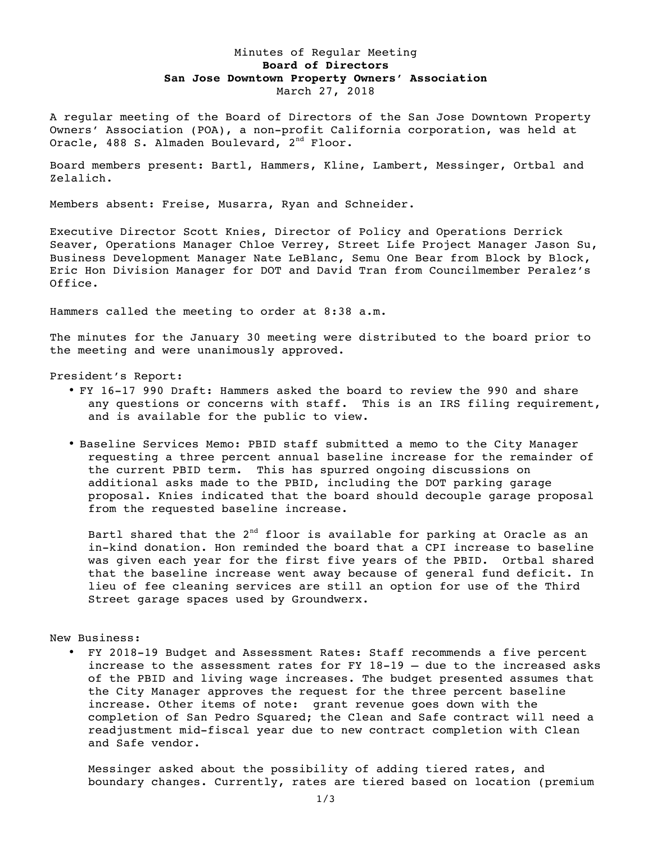## Minutes of Regular Meeting **Board of Directors San Jose Downtown Property Owners' Association** March 27, 2018

A regular meeting of the Board of Directors of the San Jose Downtown Property Owners' Association (POA), a non-profit California corporation, was held at Oracle, 488 S. Almaden Boulevard, 2<sup>nd</sup> Floor.

Board members present: Bartl, Hammers, Kline, Lambert, Messinger, Ortbal and Zelalich.

Members absent: Freise, Musarra, Ryan and Schneider.

Executive Director Scott Knies, Director of Policy and Operations Derrick Seaver, Operations Manager Chloe Verrey, Street Life Project Manager Jason Su, Business Development Manager Nate LeBlanc, Semu One Bear from Block by Block, Eric Hon Division Manager for DOT and David Tran from Councilmember Peralez's Office.

Hammers called the meeting to order at 8:38 a.m.

The minutes for the January 30 meeting were distributed to the board prior to the meeting and were unanimously approved.

President's Report:

- FY 16-17 990 Draft: Hammers asked the board to review the 990 and share any questions or concerns with staff. This is an IRS filing requirement, and is available for the public to view.
- Baseline Services Memo: PBID staff submitted a memo to the City Manager requesting a three percent annual baseline increase for the remainder of the current PBID term. This has spurred ongoing discussions on additional asks made to the PBID, including the DOT parking garage proposal. Knies indicated that the board should decouple garage proposal from the requested baseline increase.

Bartl shared that the 2<sup>nd</sup> floor is available for parking at Oracle as an in-kind donation. Hon reminded the board that a CPI increase to baseline was given each year for the first five years of the PBID. Ortbal shared that the baseline increase went away because of general fund deficit. In lieu of fee cleaning services are still an option for use of the Third Street garage spaces used by Groundwerx.

New Business:

• FY 2018-19 Budget and Assessment Rates: Staff recommends a five percent increase to the assessment rates for FY 18-19 – due to the increased asks of the PBID and living wage increases. The budget presented assumes that the City Manager approves the request for the three percent baseline increase. Other items of note: grant revenue goes down with the completion of San Pedro Squared; the Clean and Safe contract will need a readjustment mid-fiscal year due to new contract completion with Clean and Safe vendor.

Messinger asked about the possibility of adding tiered rates, and boundary changes. Currently, rates are tiered based on location (premium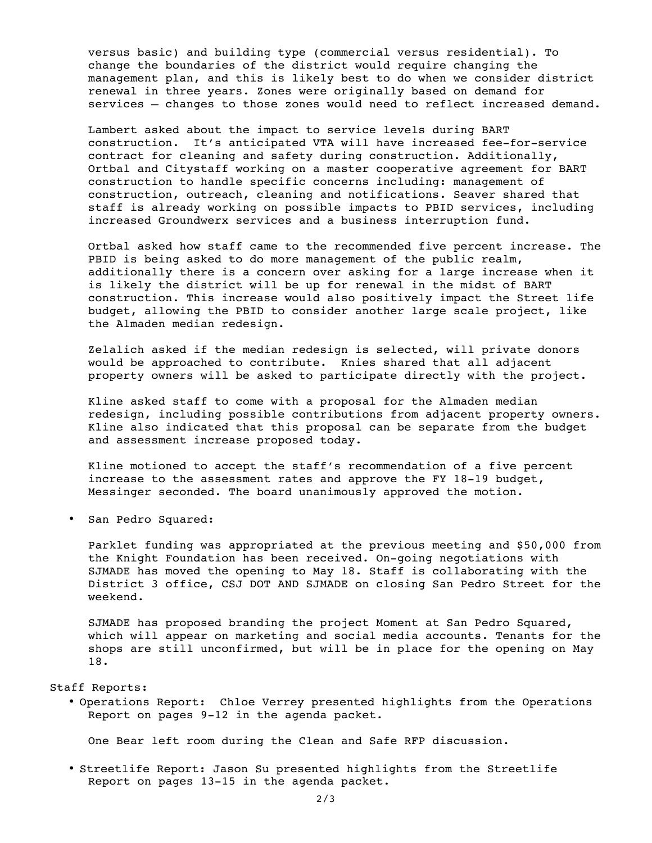versus basic) and building type (commercial versus residential). To change the boundaries of the district would require changing the management plan, and this is likely best to do when we consider district renewal in three years. Zones were originally based on demand for services – changes to those zones would need to reflect increased demand.

Lambert asked about the impact to service levels during BART construction. It's anticipated VTA will have increased fee-for-service contract for cleaning and safety during construction. Additionally, Ortbal and Citystaff working on a master cooperative agreement for BART construction to handle specific concerns including: management of construction, outreach, cleaning and notifications. Seaver shared that staff is already working on possible impacts to PBID services, including increased Groundwerx services and a business interruption fund.

Ortbal asked how staff came to the recommended five percent increase. The PBID is being asked to do more management of the public realm, additionally there is a concern over asking for a large increase when it is likely the district will be up for renewal in the midst of BART construction. This increase would also positively impact the Street life budget, allowing the PBID to consider another large scale project, like the Almaden median redesign.

Zelalich asked if the median redesign is selected, will private donors would be approached to contribute. Knies shared that all adjacent property owners will be asked to participate directly with the project.

Kline asked staff to come with a proposal for the Almaden median redesign, including possible contributions from adjacent property owners. Kline also indicated that this proposal can be separate from the budget and assessment increase proposed today.

Kline motioned to accept the staff's recommendation of a five percent increase to the assessment rates and approve the FY 18-19 budget, Messinger seconded. The board unanimously approved the motion.

• San Pedro Squared:

Parklet funding was appropriated at the previous meeting and \$50,000 from the Knight Foundation has been received. On-going negotiations with SJMADE has moved the opening to May 18. Staff is collaborating with the District 3 office, CSJ DOT AND SJMADE on closing San Pedro Street for the weekend.

SJMADE has proposed branding the project Moment at San Pedro Squared, which will appear on marketing and social media accounts. Tenants for the shops are still unconfirmed, but will be in place for the opening on May 18.

## Staff Reports:

• Operations Report: Chloe Verrey presented highlights from the Operations Report on pages 9-12 in the agenda packet.

One Bear left room during the Clean and Safe RFP discussion.

• Streetlife Report: Jason Su presented highlights from the Streetlife Report on pages 13-15 in the agenda packet.